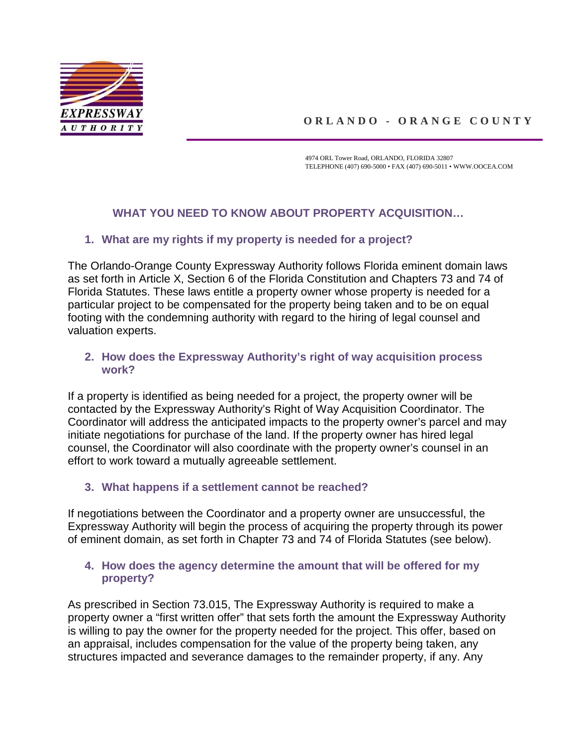

# **ORLANDO - ORANGE COUNTY**

4974 ORL Tower Road, ORLANDO, FLORIDA 32807 TELEPHONE (407) 690-5000 • FAX (407) 690-5011 • WWW.OOCEA.COM

# **WHAT YOU NEED TO KNOW ABOUT PROPERTY ACQUISITION…**

#### **1. What are my rights if my property is needed for a project?**

The Orlando-Orange County Expressway Authority follows Florida eminent domain laws as set forth in Article X, Section 6 of [the Florida Constitution](http://www.leg.state.fl.us/statutes/index.cfm?mode=constitution&submenu=3#A10S06) and Chapters [73](http://www.leg.state.fl.us/statutes/index.cfm?App_mode=Display_Statute&URL=0000-0099/0073/0073ContentsIndex.html) and [74](http://www.leg.state.fl.us/statutes/index.cfm?App_mode=Display_Statute&URL=0000-0099/0074/0074ContentsIndex.html) of Florida Statutes. These laws entitle a property owner whose property is needed for a particular project to be compensated for the property being taken and to be on equal footing with the condemning authority with regard to the hiring of legal counsel and valuation experts.

#### **2. How does the Expressway Authority's right of way acquisition process work?**

If a property is identified as being needed for a project, the property owner will be contacted by the Expressway Authority's Right of Way Acquisition Coordinator. The Coordinator will address the anticipated impacts to the property owner's parcel and may initiate negotiations for purchase of the land. If the property owner has hired legal counsel, the Coordinator will also coordinate with the property owner's counsel in an effort to work toward a mutually agreeable settlement.

# **3. What happens if a settlement cannot be reached?**

If negotiations between the Coordinator and a property owner are unsuccessful, the Expressway Authority will begin the process of acquiring the property through its power of eminent domain, as set forth in Chapter 73 and 74 of Florida Statutes (see below).

#### **4. How does the agency determine the amount that will be offered for my property?**

As prescribed in [Section 73.015,](http://www.leg.state.fl.us/statutes/index.cfm?App_mode=Display_Statute&Search_String=&URL=0000-0099/0073/Sections/0073.015.html) The Expressway Authority is required to make a property owner a "first written offer" that sets forth the amount the Expressway Authority is willing to pay the owner for the property needed for the project. This offer, based on an appraisal, includes compensation for the value of the property being taken, any structures impacted and severance damages to the remainder property, if any. Any